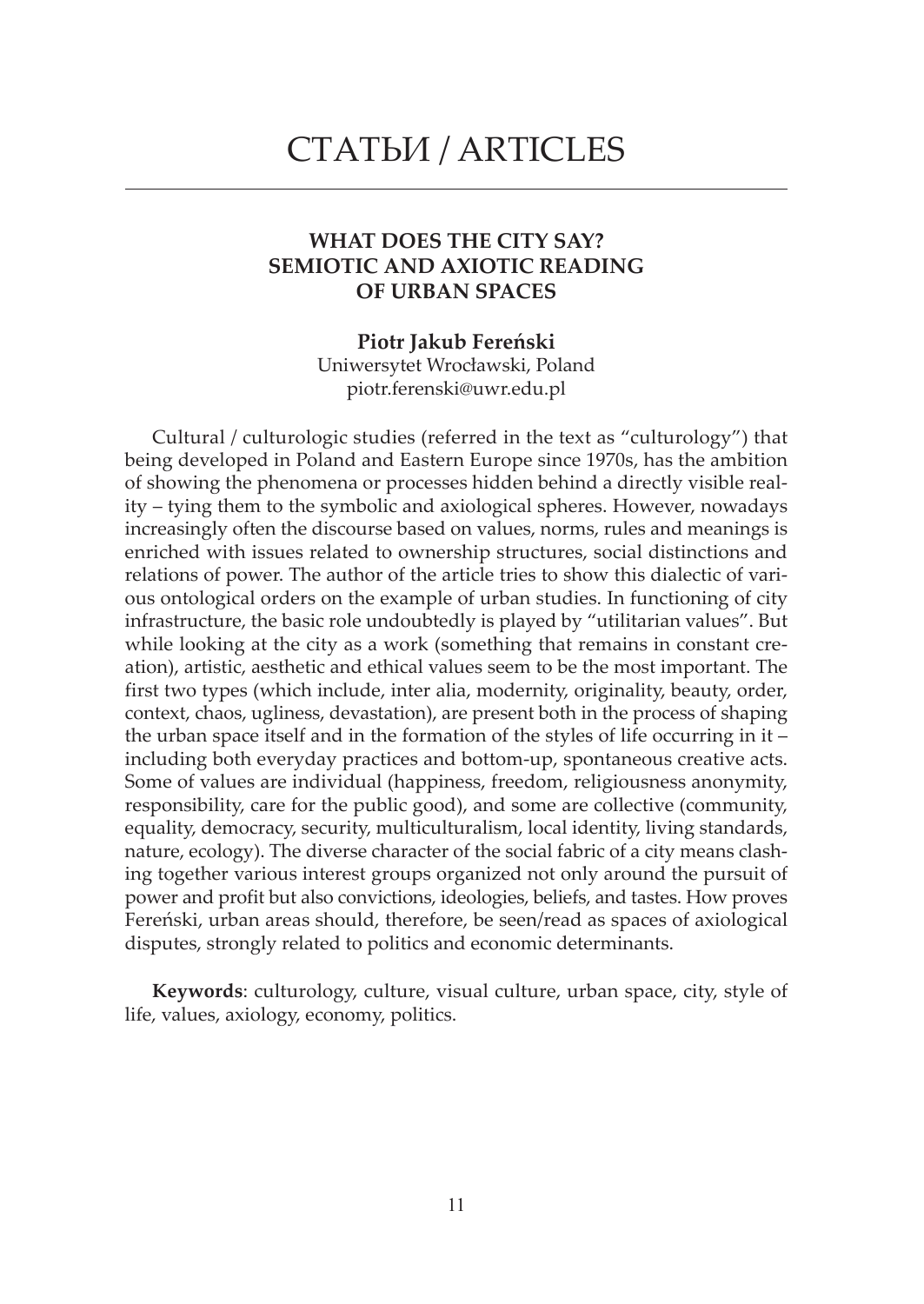## СТАТЬИ / ARTICLES

## **WHAT DOES THE CITY SAY? SEMIOTIC AND AXIOTIC READING OF URBAN SPACES**

**Piotr Jakub Fereński** Uniwersytet Wrocławski, Poland piotr.ferenski@uwr.edu.pl

Cultural / culturologic studies (referred in the text as "culturology") that being developed in Poland and Eastern Europe since 1970s, has the ambition of showing the phenomena or processes hidden behind a directly visible reality – tying them to the symbolic and axiological spheres. However, nowadays increasingly often the discourse based on values, norms, rules and meanings is enriched with issues related to ownership structures, social distinctions and relations of power. The author of the article tries to show this dialectic of various ontological orders on the example of urban studies. In functioning of city infrastructure, the basic role undoubtedly is played by "utilitarian values". But while looking at the city as a work (something that remains in constant creation), artistic, aesthetic and ethical values seem to be the most important. The first two types (which include, inter alia, modernity, originality, beauty, order, context, chaos, ugliness, devastation), are present both in the process of shaping the urban space itself and in the formation of the styles of life occurring in it – including both everyday practices and bottom-up, spontaneous creative acts. Some of values are individual (happiness, freedom, religiousness anonymity, responsibility, care for the public good), and some are collective (community, equality, democracy, security, multiculturalism, local identity, living standards, nature, ecology). The diverse character of the social fabric of a city means clashing together various interest groups organized not only around the pursuit of power and profit but also convictions, ideologies, beliefs, and tastes. How proves Fereński, urban areas should, therefore, be seen/read as spaces of axiological disputes, strongly related to politics and economic determinants.

**Keywords**: culturology, culture, visual culture, urban space, city, style of life, values, axiology, economy, politics.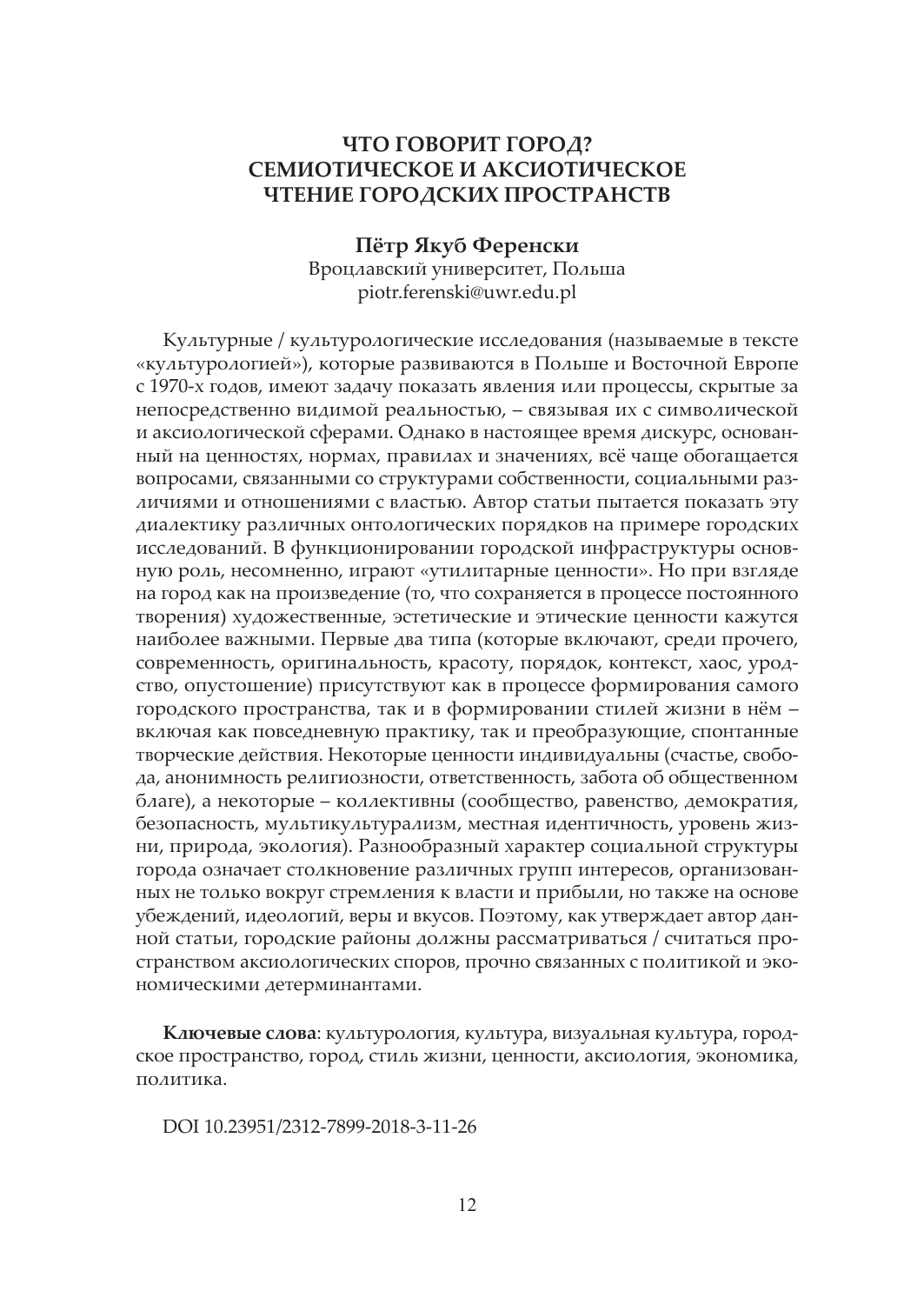## **ЧТО ГОВОРИТ ГОРОД? СЕМИОТИЧЕСКОЕ И АКСИОТИЧЕСКОЕ ЧТЕНИЕ ГОРОДСКИХ ПРОСТРАНСТВ**

**Пётр Якуб Ференски** Вроцлавский университет, Польша piotr.ferenski@uwr.edu.pl

Культурные / культурологические исследования (называемые в тексте «культурологией»), которые развиваются в Польше и Восточной Европе с 1970-х годов, имеют задачу показать явления или процессы, скрытые за непосредственно видимой реальностью, – связывая их с символической и аксиологической сферами. Однако в настоящее время дискурс, основанный на ценностях, нормах, правилах и значениях, всё чаще обогащается вопросами, связанными со структурами собственности, социальными различиями и отношениями с властью. Автор статьи пытается показать эту диалектику различных онтологических порядков на примере городских исследований. В функционировании городской инфраструктуры основную роль, несомненно, играют «утилитарные ценности». Но при взгляде на город как на произведение (то, что сохраняется в процессе постоянного творения) художественные, эстетические и этические ценности кажутся наиболее важными. Первые два типа (которые включают, среди прочего, современность, оригинальность, красоту, порядок, контекст, хаос, уродство, опустошение) присутствуют как в процессе формирования самого городского пространства, так и в формировании стилей жизни в нём – включая как повседневную практику, так и преобразующие, спонтанные творческие действия. Некоторые ценности индивидуальны (счастье, свобода, анонимность религиозности, ответственность, забота об общественном благе), а некоторые – коллективны (сообщество, равенство, демократия, безопасность, мультикультурализм, местная идентичность, уровень жизни, природа, экология). Разнообразный характер социальной структуры города означает столкновение различных групп интересов, организованных не только вокруг стремления к власти и прибыли, но также на основе убеждений, идеологий, веры и вкусов. Поэтому, как утверждает автор данной статьи, городские районы должны рассматриваться / считаться пространством аксиологических споров, прочно связанных с политикой и экономическими детерминантами.

**Ключевые слова**: культурология, культура, визуальная культура, городское пространство, город, стиль жизни, ценности, аксиология, экономика, политика.

DOI 10.23951/2312-7899-2018-3-11-26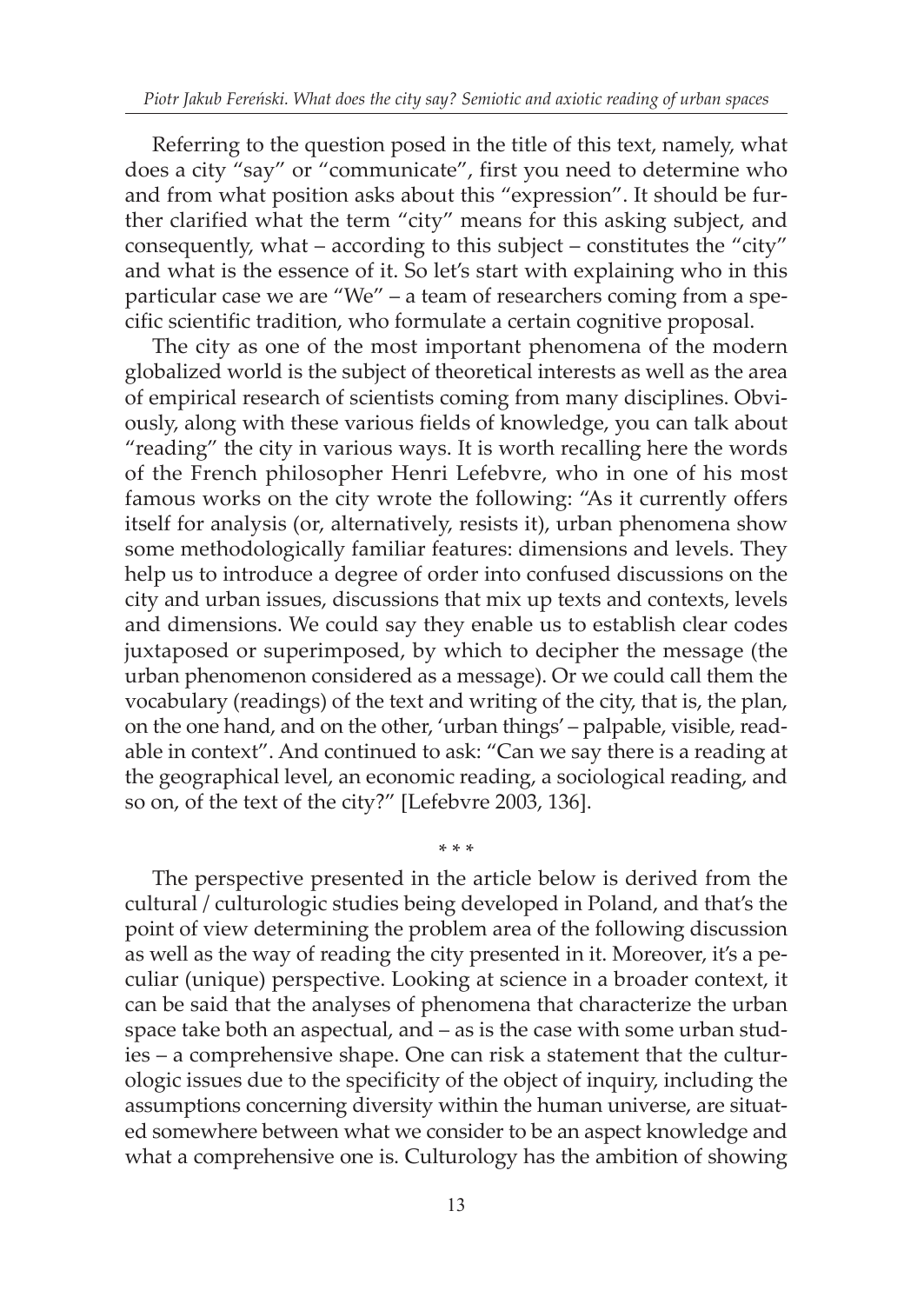Referring to the question posed in the title of this text, namely, what does a city "say" or "communicate", first you need to determine who and from what position asks about this "expression". It should be further clarified what the term "city" means for this asking subject, and consequently, what – according to this subject – constitutes the "city" and what is the essence of it. So let's start with explaining who in this particular case we are "We" – a team of researchers coming from a specific scientific tradition, who formulate a certain cognitive proposal.

The city as one of the most important phenomena of the modern globalized world is the subject of theoretical interests as well as the area of empirical research of scientists coming from many disciplines. Obviously, along with these various fields of knowledge, you can talk about "reading" the city in various ways. It is worth recalling here the words of the French philosopher Henri Lefebvre, who in one of his most famous works on the city wrote the following: "As it currently offers itself for analysis (or, alternatively, resists it), urban phenomena show some methodologically familiar features: dimensions and levels. They help us to introduce a degree of order into confused discussions on the city and urban issues, discussions that mix up texts and contexts, levels and dimensions. We could say they enable us to establish clear codes juxtaposed or superimposed, by which to decipher the message (the urban phenomenon considered as a message). Or we could call them the vocabulary (readings) of the text and writing of the city, that is, the plan, on the one hand, and on the other, 'urban things' – palpable, visible, readable in context". And continued to ask: "Can we say there is a reading at the geographical level, an economic reading, a sociological reading, and so on, of the text of the city?" [Lefebvre 2003, 136].

The perspective presented in the article below is derived from the cultural / culturologic studies being developed in Poland, and that's the point of view determining the problem area of the following discussion as well as the way of reading the city presented in it. Moreover, it's a peculiar (unique) perspective. Looking at science in a broader context, it can be said that the analyses of phenomena that characterize the urban space take both an aspectual, and – as is the case with some urban studies – a comprehensive shape. One can risk a statement that the culturologic issues due to the specificity of the object of inquiry, including the assumptions concerning diversity within the human universe, are situated somewhere between what we consider to be an aspect knowledge and what a comprehensive one is. Culturology has the ambition of showing

\* \* \*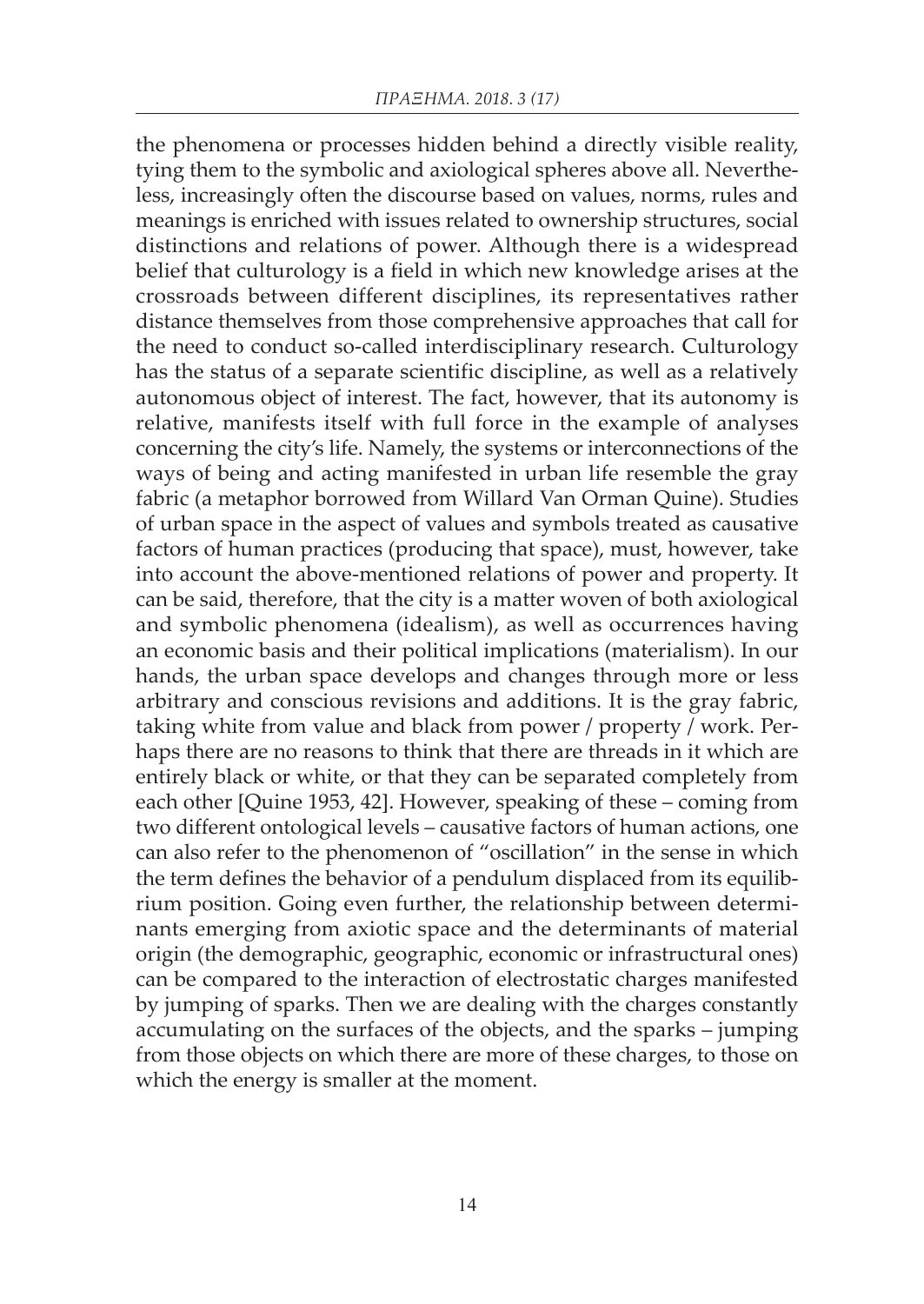the phenomena or processes hidden behind a directly visible reality, tying them to the symbolic and axiological spheres above all. Nevertheless, increasingly often the discourse based on values, norms, rules and meanings is enriched with issues related to ownership structures, social distinctions and relations of power. Although there is a widespread belief that culturology is a field in which new knowledge arises at the crossroads between different disciplines, its representatives rather distance themselves from those comprehensive approaches that call for the need to conduct so-called interdisciplinary research. Culturology has the status of a separate scientific discipline, as well as a relatively autonomous object of interest. The fact, however, that its autonomy is relative, manifests itself with full force in the example of analyses concerning the city's life. Namely, the systems or interconnections of the ways of being and acting manifested in urban life resemble the gray fabric (a metaphor borrowed from Willard Van Orman Quine). Studies of urban space in the aspect of values and symbols treated as causative factors of human practices (producing that space), must, however, take into account the above-mentioned relations of power and property. It can be said, therefore, that the city is a matter woven of both axiological and symbolic phenomena (idealism), as well as occurrences having an economic basis and their political implications (materialism). In our hands, the urban space develops and changes through more or less arbitrary and conscious revisions and additions. It is the gray fabric, taking white from value and black from power / property / work. Perhaps there are no reasons to think that there are threads in it which are entirely black or white, or that they can be separated completely from each other [Quine 1953, 42]. However, speaking of these – coming from two different ontological levels – causative factors of human actions, one can also refer to the phenomenon of "oscillation" in the sense in which the term defines the behavior of a pendulum displaced from its equilibrium position. Going even further, the relationship between determinants emerging from axiotic space and the determinants of material origin (the demographic, geographic, economic or infrastructural ones) can be compared to the interaction of electrostatic charges manifested by jumping of sparks. Then we are dealing with the charges constantly accumulating on the surfaces of the objects, and the sparks – jumping from those objects on which there are more of these charges, to those on which the energy is smaller at the moment.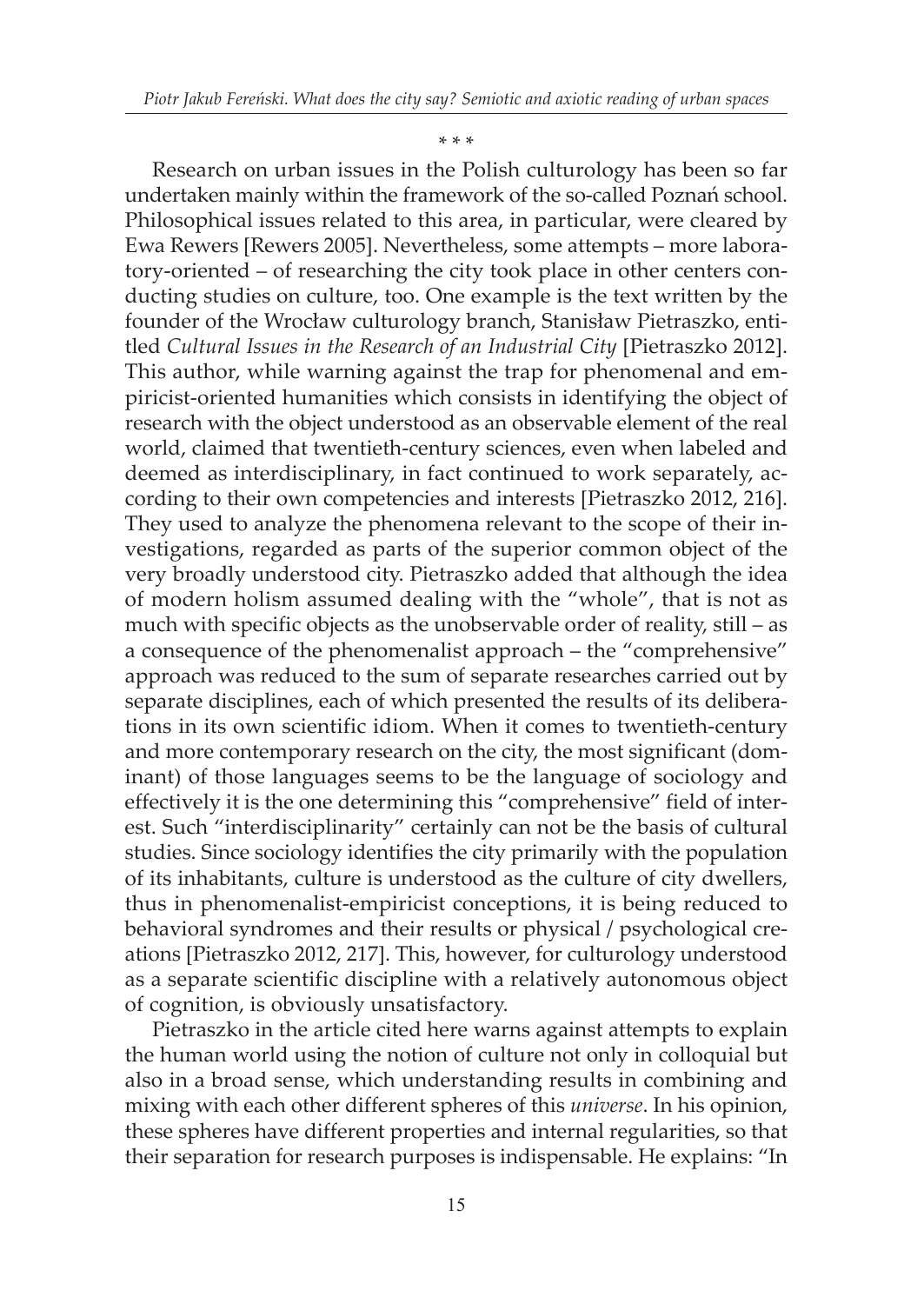\* \* \*

Research on urban issues in the Polish culturology has been so far undertaken mainly within the framework of the so-called Poznań school. Philosophical issues related to this area, in particular, were cleared by Ewa Rewers [Rewers 2005]. Nevertheless, some attempts – more laboratory-oriented – of researching the city took place in other centers conducting studies on culture, too. One example is the text written by the founder of the Wrocław culturology branch, Stanisław Pietraszko, entitled *Cultural Issues in the Research of an Industrial City* [Pietraszko 2012]. This author, while warning against the trap for phenomenal and empiricist-oriented humanities which consists in identifying the object of research with the object understood as an observable element of the real world, claimed that twentieth-century sciences, even when labeled and deemed as interdisciplinary, in fact continued to work separately, according to their own competencies and interests [Pietraszko 2012, 216]. They used to analyze the phenomena relevant to the scope of their investigations, regarded as parts of the superior common object of the very broadly understood city. Pietraszko added that although the idea of modern holism assumed dealing with the "whole", that is not as much with specific objects as the unobservable order of reality, still – as a consequence of the phenomenalist approach – the "comprehensive" approach was reduced to the sum of separate researches carried out by separate disciplines, each of which presented the results of its deliberations in its own scientific idiom. When it comes to twentieth-century and more contemporary research on the city, the most significant (dominant) of those languages seems to be the language of sociology and effectively it is the one determining this "comprehensive" field of interest. Such "interdisciplinarity" certainly can not be the basis of cultural studies. Since sociology identifies the city primarily with the population of its inhabitants, culture is understood as the culture of city dwellers, thus in phenomenalist-empiricist conceptions, it is being reduced to behavioral syndromes and their results or physical / psychological creations [Pietraszko 2012, 217]. This, however, for culturology understood as a separate scientific discipline with a relatively autonomous object of cognition, is obviously unsatisfactory.

Pietraszko in the article cited here warns against attempts to explain the human world using the notion of culture not only in colloquial but also in a broad sense, which understanding results in combining and mixing with each other different spheres of this *universe*. In his opinion, these spheres have different properties and internal regularities, so that their separation for research purposes is indispensable. He explains: "In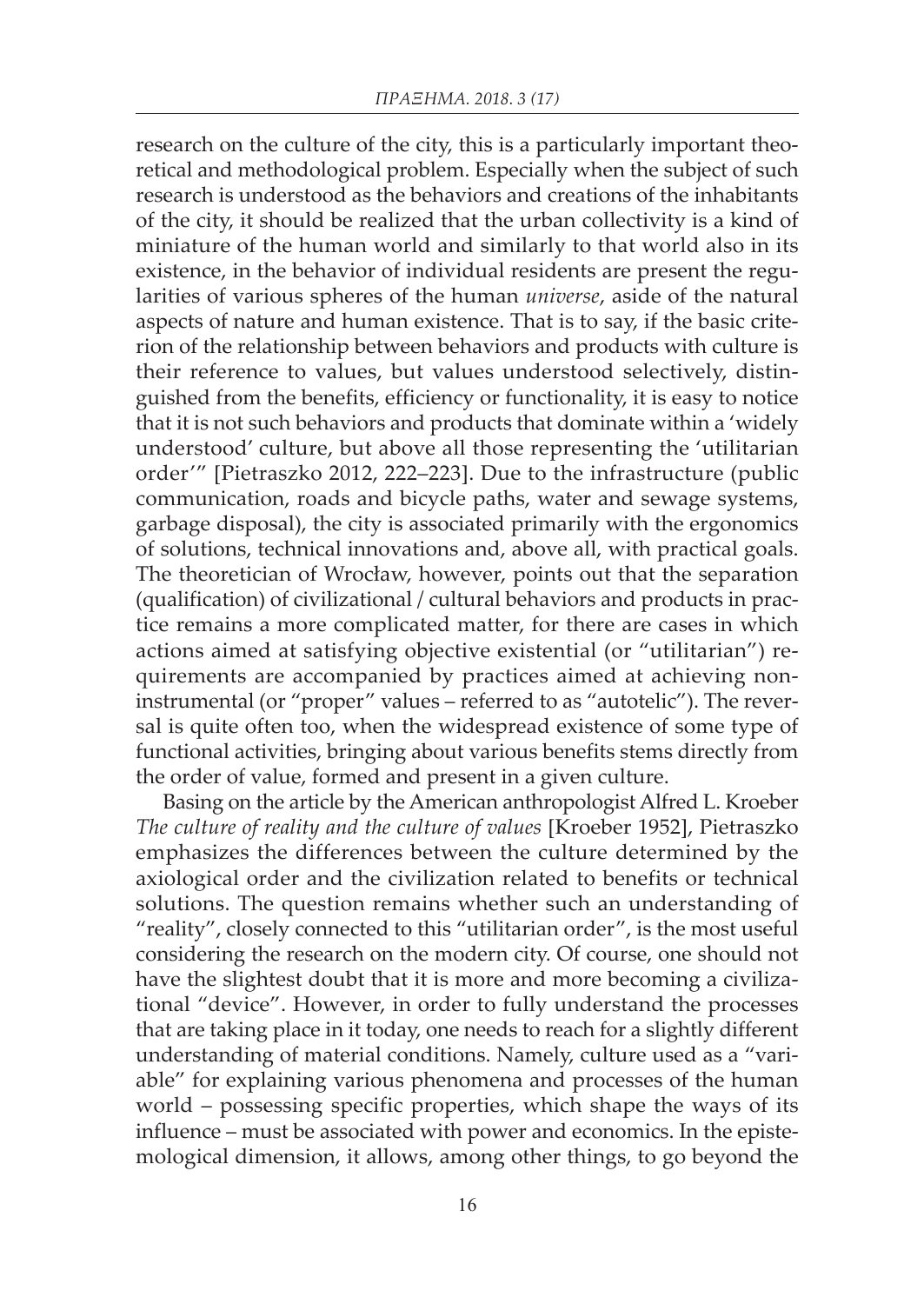research on the culture of the city, this is a particularly important theoretical and methodological problem. Especially when the subject of such research is understood as the behaviors and creations of the inhabitants of the city, it should be realized that the urban collectivity is a kind of miniature of the human world and similarly to that world also in its existence, in the behavior of individual residents are present the regularities of various spheres of the human *universe*, aside of the natural aspects of nature and human existence. That is to say, if the basic criterion of the relationship between behaviors and products with culture is their reference to values, but values understood selectively, distinguished from the benefits, efficiency or functionality, it is easy to notice that it is not such behaviors and products that dominate within a 'widely understood' culture, but above all those representing the 'utilitarian order'" [Pietraszko 2012, 222–223]. Due to the infrastructure (public communication, roads and bicycle paths, water and sewage systems, garbage disposal), the city is associated primarily with the ergonomics of solutions, technical innovations and, above all, with practical goals. The theoretician of Wrocław, however, points out that the separation (qualification) of civilizational / cultural behaviors and products in practice remains a more complicated matter, for there are cases in which actions aimed at satisfying objective existential (or "utilitarian") requirements are accompanied by practices aimed at achieving noninstrumental (or "proper" values – referred to as "autotelic"). The reversal is quite often too, when the widespread existence of some type of functional activities, bringing about various benefits stems directly from the order of value, formed and present in a given culture.

Basing on the article by the American anthropologist Alfred L. Kroeber *The culture of reality and the culture of values* [Kroeber 1952], Pietraszko emphasizes the differences between the culture determined by the axiological order and the civilization related to benefits or technical solutions. The question remains whether such an understanding of "reality", closely connected to this "utilitarian order", is the most useful considering the research on the modern city. Of course, one should not have the slightest doubt that it is more and more becoming a civilizational "device". However, in order to fully understand the processes that are taking place in it today, one needs to reach for a slightly different understanding of material conditions. Namely, culture used as a "variable" for explaining various phenomena and processes of the human world – possessing specific properties, which shape the ways of its influence – must be associated with power and economics. In the epistemological dimension, it allows, among other things, to go beyond the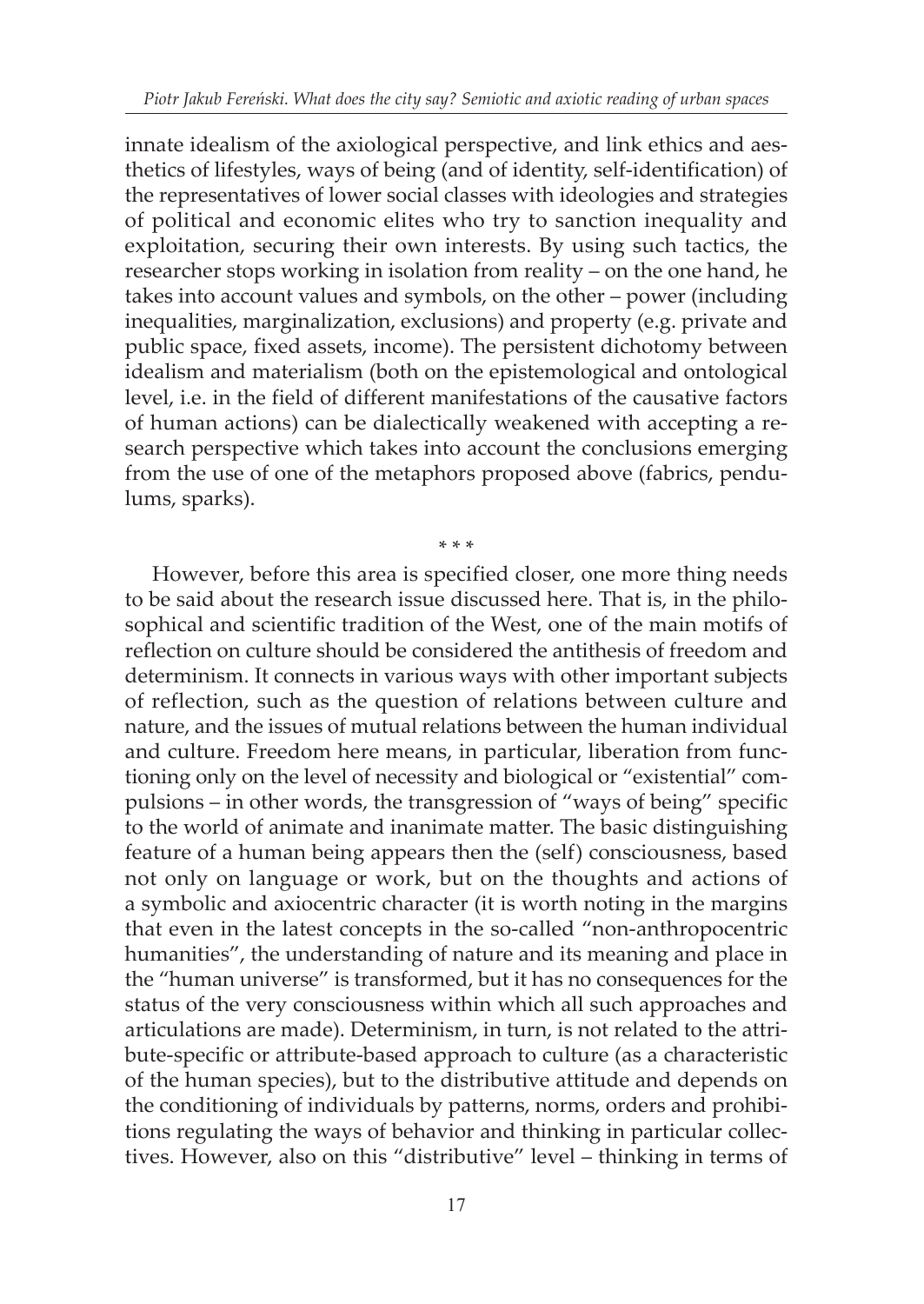innate idealism of the axiological perspective, and link ethics and aesthetics of lifestyles, ways of being (and of identity, self-identification) of the representatives of lower social classes with ideologies and strategies of political and economic elites who try to sanction inequality and exploitation, securing their own interests. By using such tactics, the researcher stops working in isolation from reality – on the one hand, he takes into account values and symbols, on the other – power (including inequalities, marginalization, exclusions) and property (e.g. private and public space, fixed assets, income). The persistent dichotomy between idealism and materialism (both on the epistemological and ontological level, i.e. in the field of different manifestations of the causative factors of human actions) can be dialectically weakened with accepting a research perspective which takes into account the conclusions emerging from the use of one of the metaphors proposed above (fabrics, pendulums, sparks).

\* \* \*

However, before this area is specified closer, one more thing needs to be said about the research issue discussed here. That is, in the philosophical and scientific tradition of the West, one of the main motifs of reflection on culture should be considered the antithesis of freedom and determinism. It connects in various ways with other important subjects of reflection, such as the question of relations between culture and nature, and the issues of mutual relations between the human individual and culture. Freedom here means, in particular, liberation from functioning only on the level of necessity and biological or "existential" compulsions – in other words, the transgression of "ways of being" specific to the world of animate and inanimate matter. The basic distinguishing feature of a human being appears then the (self) consciousness, based not only on language or work, but on the thoughts and actions of a symbolic and axiocentric character (it is worth noting in the margins that even in the latest concepts in the so-called "non-anthropocentric humanities", the understanding of nature and its meaning and place in the "human universe" is transformed, but it has no consequences for the status of the very consciousness within which all such approaches and articulations are made). Determinism, in turn, is not related to the attribute-specific or attribute-based approach to culture (as a characteristic of the human species), but to the distributive attitude and depends on the conditioning of individuals by patterns, norms, orders and prohibitions regulating the ways of behavior and thinking in particular collectives. However, also on this "distributive" level – thinking in terms of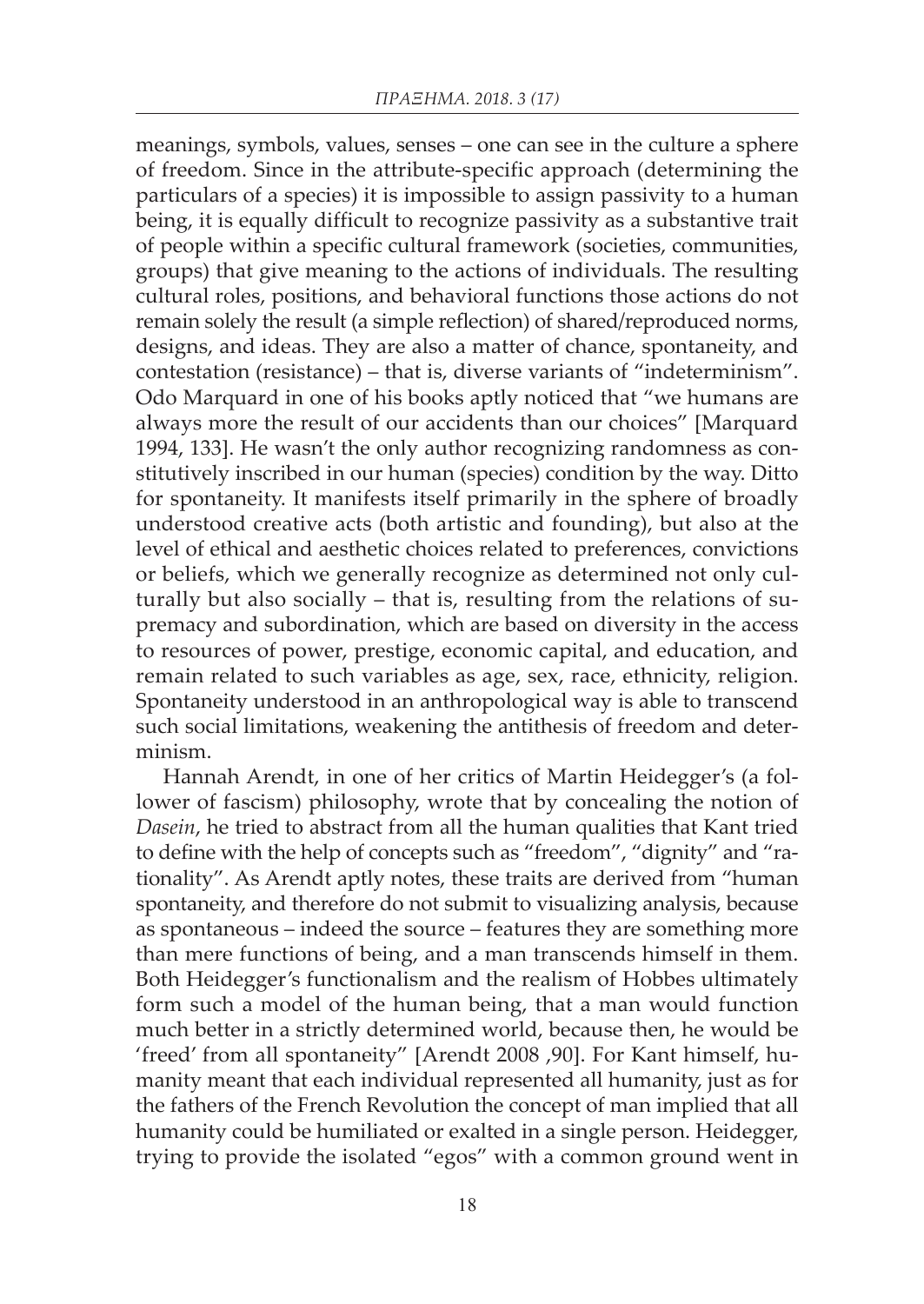meanings, symbols, values, senses – one can see in the culture a sphere of freedom. Since in the attribute-specific approach (determining the particulars of a species) it is impossible to assign passivity to a human being, it is equally difficult to recognize passivity as a substantive trait of people within a specific cultural framework (societies, communities, groups) that give meaning to the actions of individuals. The resulting cultural roles, positions, and behavioral functions those actions do not remain solely the result (a simple reflection) of shared/reproduced norms, designs, and ideas. They are also a matter of chance, spontaneity, and contestation (resistance) – that is, diverse variants of "indeterminism". Odo Marquard in one of his books aptly noticed that "we humans are always more the result of our accidents than our choices" [Marquard 1994, 133]. He wasn't the only author recognizing randomness as constitutively inscribed in our human (species) condition by the way. Ditto for spontaneity. It manifests itself primarily in the sphere of broadly understood creative acts (both artistic and founding), but also at the level of ethical and aesthetic choices related to preferences, convictions or beliefs, which we generally recognize as determined not only culturally but also socially – that is, resulting from the relations of supremacy and subordination, which are based on diversity in the access to resources of power, prestige, economic capital, and education, and remain related to such variables as age, sex, race, ethnicity, religion. Spontaneity understood in an anthropological way is able to transcend such social limitations, weakening the antithesis of freedom and determinism.

Hannah Arendt, in one of her critics of Martin Heidegger's (a follower of fascism) philosophy, wrote that by concealing the notion of *Dasein*, he tried to abstract from all the human qualities that Kant tried to define with the help of concepts such as "freedom", "dignity" and "rationality". As Arendt aptly notes, these traits are derived from "human spontaneity, and therefore do not submit to visualizing analysis, because as spontaneous – indeed the source – features they are something more than mere functions of being, and a man transcends himself in them. Both Heidegger's functionalism and the realism of Hobbes ultimately form such a model of the human being, that a man would function much better in a strictly determined world, because then, he would be 'freed' from all spontaneity" [Arendt 2008 ,90]. For Kant himself, humanity meant that each individual represented all humanity, just as for the fathers of the French Revolution the concept of man implied that all humanity could be humiliated or exalted in a single person. Heidegger, trying to provide the isolated "egos" with a common ground went in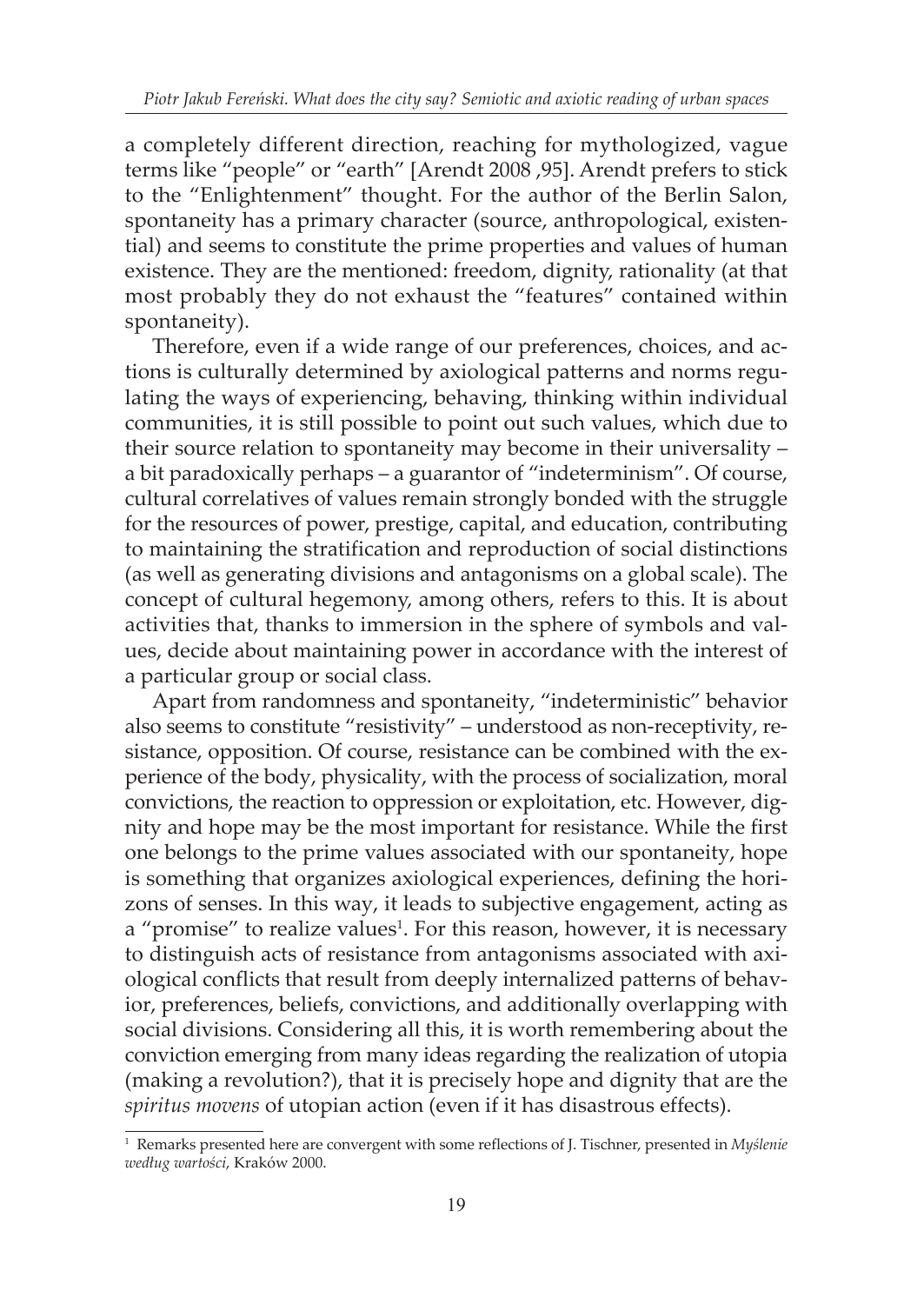a completely different direction, reaching for mythologized, vague terms like "people" or "earth" [Arendt 2008 ,95]. Arendt prefers to stick to the "Enlightenment" thought. For the author of the Berlin Salon, spontaneity has a primary character (source, anthropological, existential) and seems to constitute the prime properties and values of human existence. They are the mentioned: freedom, dignity, rationality (at that most probably they do not exhaust the "features" contained within spontaneity).

Therefore, even if a wide range of our preferences, choices, and actions is culturally determined by axiological patterns and norms regulating the ways of experiencing, behaving, thinking within individual communities, it is still possible to point out such values, which due to their source relation to spontaneity may become in their universality – a bit paradoxically perhaps – a guarantor of "indeterminism". Of course, cultural correlatives of values remain strongly bonded with the struggle for the resources of power, prestige, capital, and education, contributing to maintaining the stratification and reproduction of social distinctions (as well as generating divisions and antagonisms on a global scale). The concept of cultural hegemony, among others, refers to this. It is about activities that, thanks to immersion in the sphere of symbols and values, decide about maintaining power in accordance with the interest of a particular group or social class.

Apart from randomness and spontaneity, "indeterministic" behavior also seems to constitute "resistivity" – understood as non-receptivity, resistance, opposition. Of course, resistance can be combined with the experience of the body, physicality, with the process of socialization, moral convictions, the reaction to oppression or exploitation, etc. However, dignity and hope may be the most important for resistance. While the first one belongs to the prime values associated with our spontaneity, hope is something that organizes axiological experiences, defining the horizons of senses. In this way, it leads to subjective engagement, acting as a "promise" to realize values<sup>1</sup>. For this reason, however, it is necessary to distinguish acts of resistance from antagonisms associated with axiological conflicts that result from deeply internalized patterns of behavior, preferences, beliefs, convictions, and additionally overlapping with social divisions. Considering all this, it is worth remembering about the conviction emerging from many ideas regarding the realization of utopia (making a revolution?), that it is precisely hope and dignity that are the *spiritus movens* of utopian action (even if it has disastrous effects).

<sup>1</sup> Remarks presented here are convergent with some reflections of J. Tischner, presented in *Myślenie według wartości*, Kraków 2000.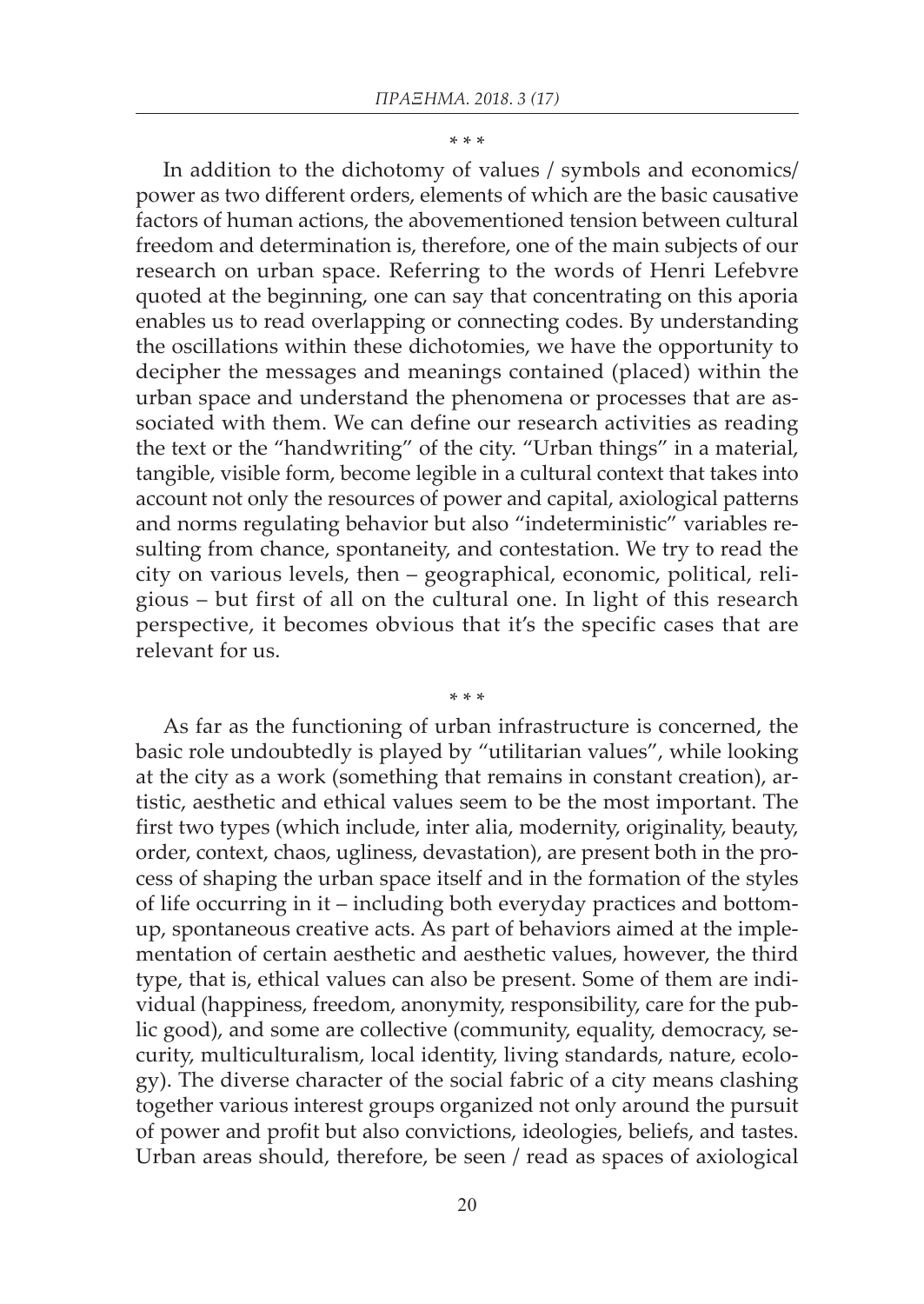\* \* \*

In addition to the dichotomy of values / symbols and economics/ power as two different orders, elements of which are the basic causative factors of human actions, the abovementioned tension between cultural freedom and determination is, therefore, one of the main subjects of our research on urban space. Referring to the words of Henri Lefebvre quoted at the beginning, one can say that concentrating on this aporia enables us to read overlapping or connecting codes. By understanding the oscillations within these dichotomies, we have the opportunity to decipher the messages and meanings contained (placed) within the urban space and understand the phenomena or processes that are associated with them. We can define our research activities as reading the text or the "handwriting" of the city. "Urban things" in a material, tangible, visible form, become legible in a cultural context that takes into account not only the resources of power and capital, axiological patterns and norms regulating behavior but also "indeterministic" variables resulting from chance, spontaneity, and contestation. We try to read the city on various levels, then – geographical, economic, political, religious – but first of all on the cultural one. In light of this research perspective, it becomes obvious that it's the specific cases that are relevant for us.

As far as the functioning of urban infrastructure is concerned, the basic role undoubtedly is played by "utilitarian values", while looking at the city as a work (something that remains in constant creation), artistic, aesthetic and ethical values seem to be the most important. The first two types (which include, inter alia, modernity, originality, beauty, order, context, chaos, ugliness, devastation), are present both in the process of shaping the urban space itself and in the formation of the styles of life occurring in it – including both everyday practices and bottomup, spontaneous creative acts. As part of behaviors aimed at the implementation of certain aesthetic and aesthetic values, however, the third type, that is, ethical values can also be present. Some of them are individual (happiness, freedom, anonymity, responsibility, care for the public good), and some are collective (community, equality, democracy, security, multiculturalism, local identity, living standards, nature, ecology). The diverse character of the social fabric of a city means clashing together various interest groups organized not only around the pursuit of power and profit but also convictions, ideologies, beliefs, and tastes. Urban areas should, therefore, be seen / read as spaces of axiological

\* \* \*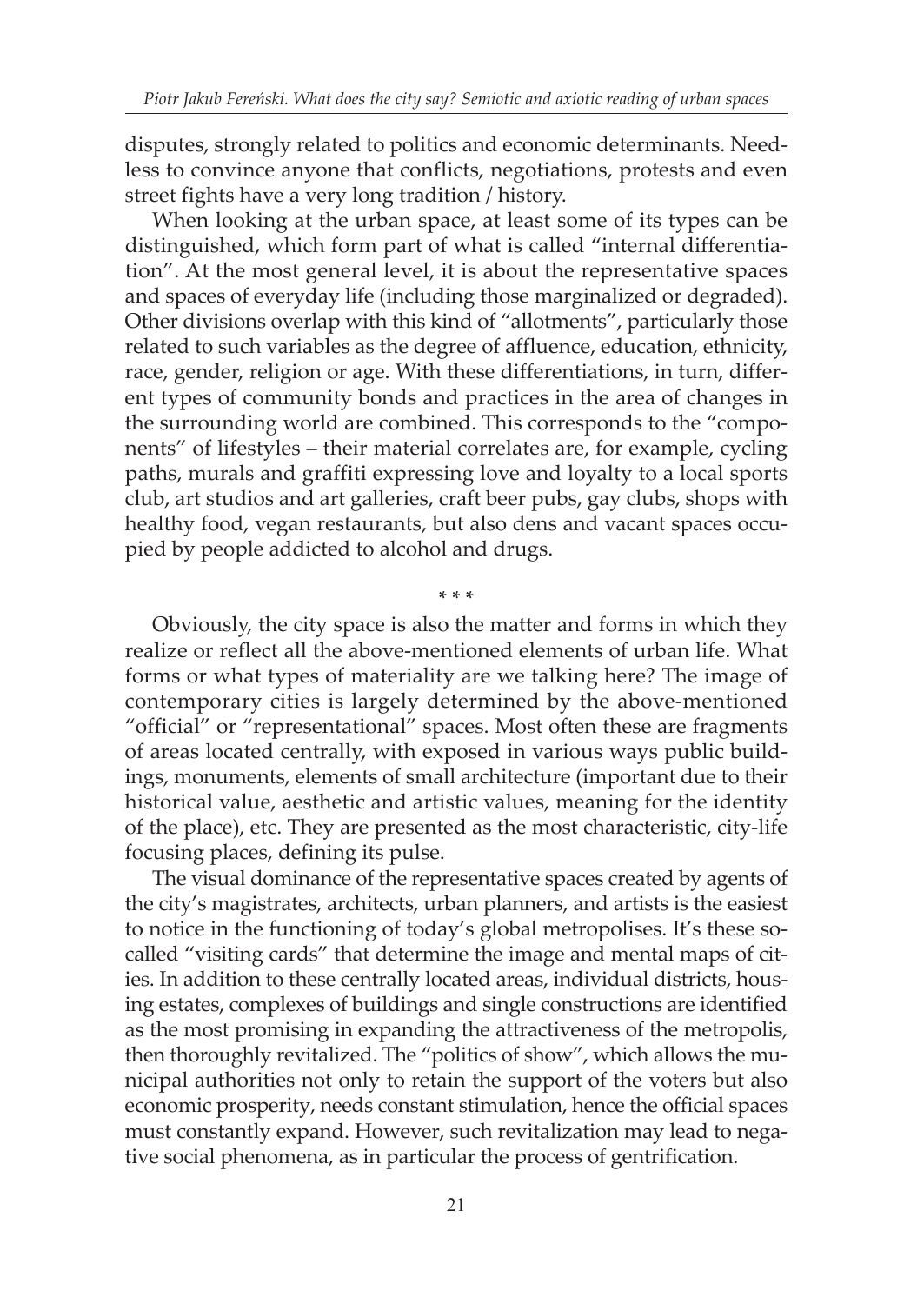disputes, strongly related to politics and economic determinants. Needless to convince anyone that conflicts, negotiations, protests and even street fights have a very long tradition / history.

When looking at the urban space, at least some of its types can be distinguished, which form part of what is called "internal differentiation". At the most general level, it is about the representative spaces and spaces of everyday life (including those marginalized or degraded). Other divisions overlap with this kind of "allotments", particularly those related to such variables as the degree of affluence, education, ethnicity, race, gender, religion or age. With these differentiations, in turn, different types of community bonds and practices in the area of changes in the surrounding world are combined. This corresponds to the "components" of lifestyles – their material correlates are, for example, cycling paths, murals and graffiti expressing love and loyalty to a local sports club, art studios and art galleries, craft beer pubs, gay clubs, shops with healthy food, vegan restaurants, but also dens and vacant spaces occupied by people addicted to alcohol and drugs.

Obviously, the city space is also the matter and forms in which they realize or reflect all the above-mentioned elements of urban life. What forms or what types of materiality are we talking here? The image of contemporary cities is largely determined by the above-mentioned "official" or "representational" spaces. Most often these are fragments of areas located centrally, with exposed in various ways public buildings, monuments, elements of small architecture (important due to their historical value, aesthetic and artistic values, meaning for the identity of the place), etc. They are presented as the most characteristic, city-life focusing places, defining its pulse.

\* \* \*

The visual dominance of the representative spaces created by agents of the city's magistrates, architects, urban planners, and artists is the easiest to notice in the functioning of today's global metropolises. It's these socalled "visiting cards" that determine the image and mental maps of cities. In addition to these centrally located areas, individual districts, housing estates, complexes of buildings and single constructions are identified as the most promising in expanding the attractiveness of the metropolis, then thoroughly revitalized. The "politics of show", which allows the municipal authorities not only to retain the support of the voters but also economic prosperity, needs constant stimulation, hence the official spaces must constantly expand. However, such revitalization may lead to negative social phenomena, as in particular the process of gentrification.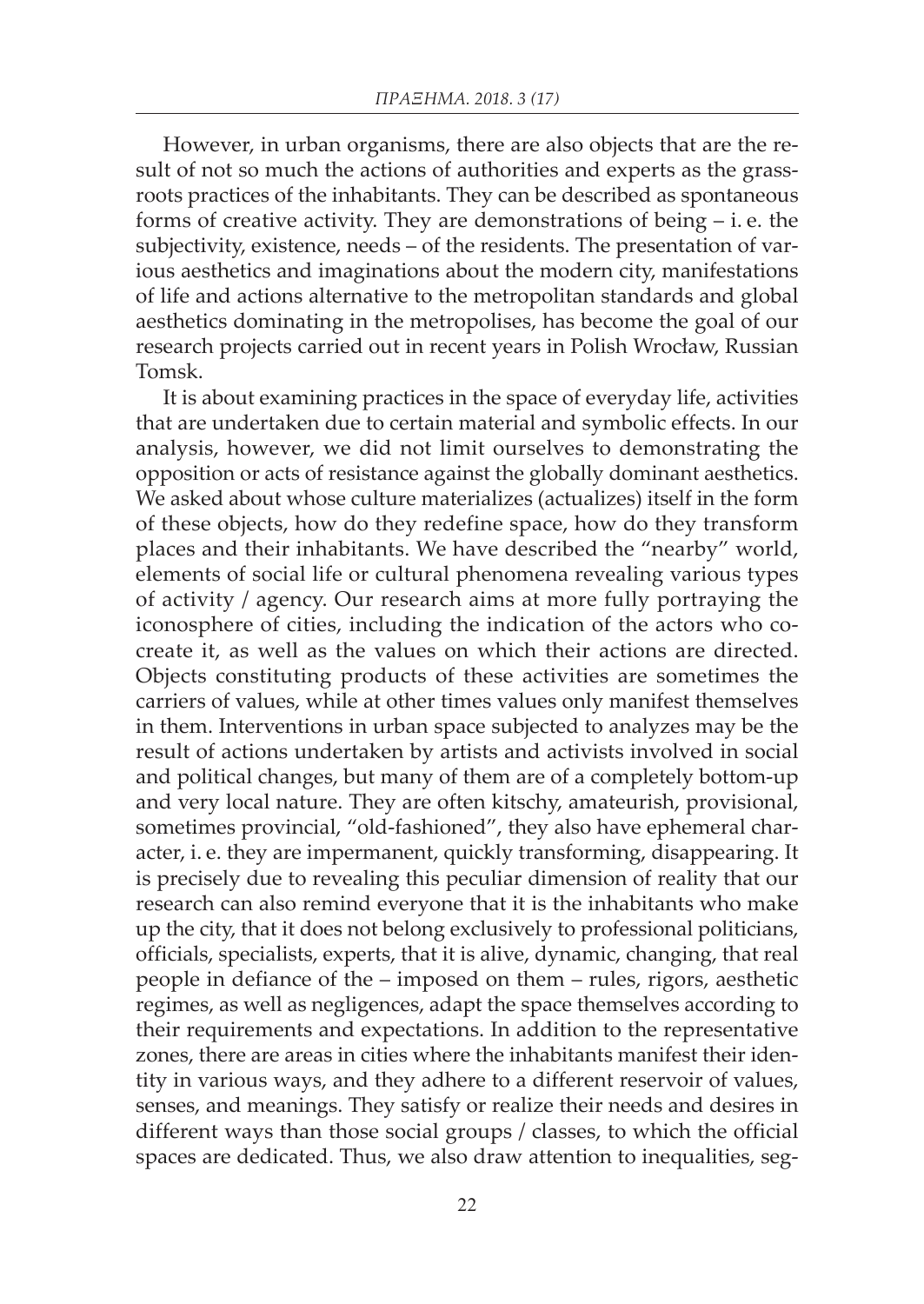However, in urban organisms, there are also objects that are the result of not so much the actions of authorities and experts as the grassroots practices of the inhabitants. They can be described as spontaneous forms of creative activity. They are demonstrations of being  $-$  i. e. the subjectivity, existence, needs – of the residents. The presentation of various aesthetics and imaginations about the modern city, manifestations of life and actions alternative to the metropolitan standards and global aesthetics dominating in the metropolises, has become the goal of our research projects carried out in recent years in Polish Wrocław, Russian Tomsk.

It is about examining practices in the space of everyday life, activities that are undertaken due to certain material and symbolic effects. In our analysis, however, we did not limit ourselves to demonstrating the opposition or acts of resistance against the globally dominant aesthetics. We asked about whose culture materializes (actualizes) itself in the form of these objects, how do they redefine space, how do they transform places and their inhabitants. We have described the "nearby" world, elements of social life or cultural phenomena revealing various types of activity / agency. Our research aims at more fully portraying the iconosphere of cities, including the indication of the actors who cocreate it, as well as the values on which their actions are directed. Objects constituting products of these activities are sometimes the carriers of values, while at other times values only manifest themselves in them. Interventions in urban space subjected to analyzes may be the result of actions undertaken by artists and activists involved in social and political changes, but many of them are of a completely bottom-up and very local nature. They are often kitschy, amateurish, provisional, sometimes provincial, "old-fashioned", they also have ephemeral character, i. e. they are impermanent, quickly transforming, disappearing. It is precisely due to revealing this peculiar dimension of reality that our research can also remind everyone that it is the inhabitants who make up the city, that it does not belong exclusively to professional politicians, officials, specialists, experts, that it is alive, dynamic, changing, that real people in defiance of the – imposed on them – rules, rigors, aesthetic regimes, as well as negligences, adapt the space themselves according to their requirements and expectations. In addition to the representative zones, there are areas in cities where the inhabitants manifest their identity in various ways, and they adhere to a different reservoir of values, senses, and meanings. They satisfy or realize their needs and desires in different ways than those social groups / classes, to which the official spaces are dedicated. Thus, we also draw attention to inequalities, seg-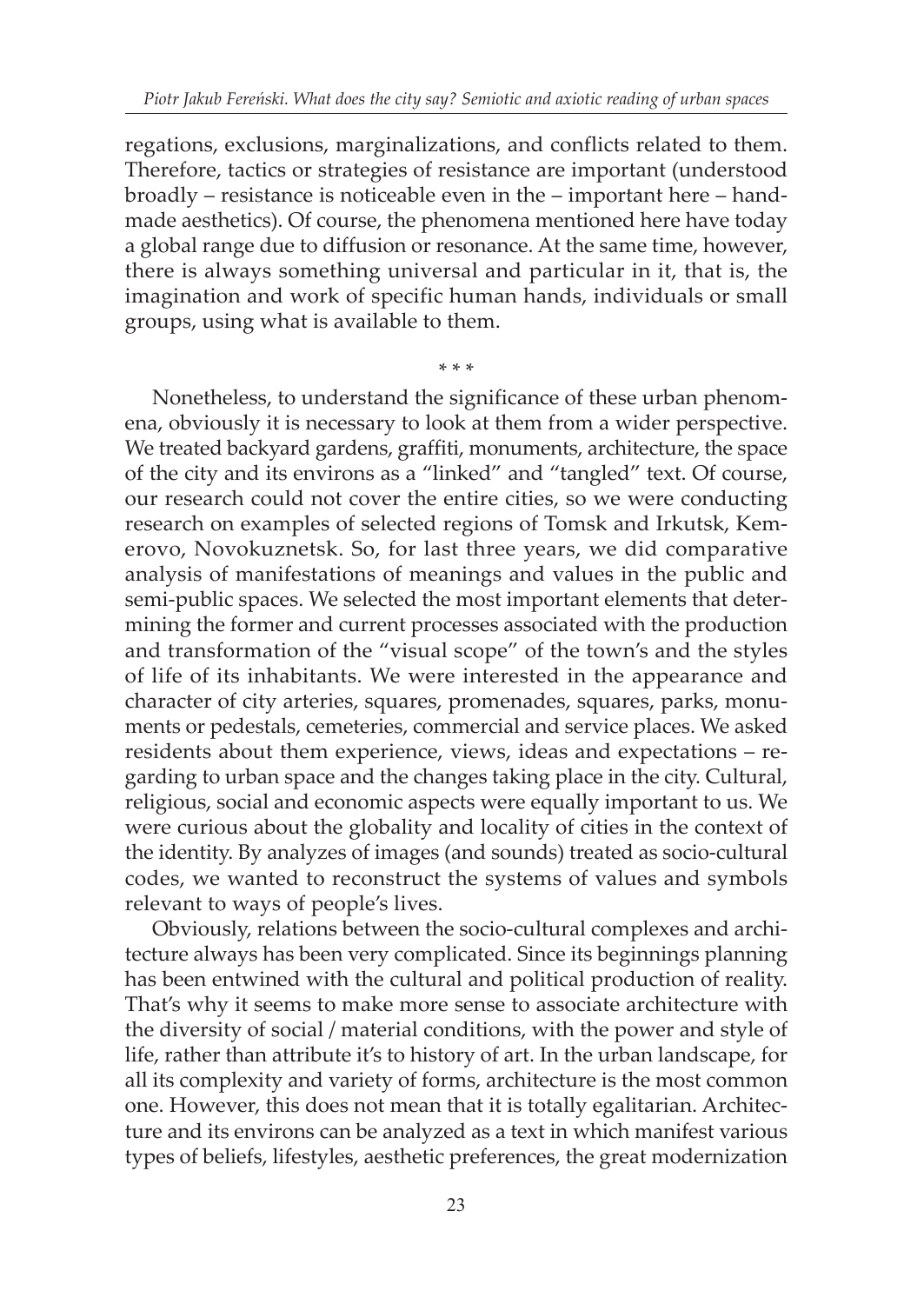regations, exclusions, marginalizations, and conflicts related to them. Therefore, tactics or strategies of resistance are important (understood broadly – resistance is noticeable even in the – important here – handmade aesthetics). Of course, the phenomena mentioned here have today a global range due to diffusion or resonance. At the same time, however, there is always something universal and particular in it, that is, the imagination and work of specific human hands, individuals or small groups, using what is available to them.

\* \* \*

Nonetheless, to understand the significance of these urban phenomena, obviously it is necessary to look at them from a wider perspective. We treated backyard gardens, graffiti, monuments, architecture, the space of the city and its environs as a "linked" and "tangled" text. Of course, our research could not cover the entire cities, so we were conducting research on examples of selected regions of Tomsk and Irkutsk, Kemerovo, Novokuznetsk. So, for last three years, we did comparative analysis of manifestations of meanings and values in the public and semi-public spaces. We selected the most important elements that determining the former and current processes associated with the production and transformation of the "visual scope" of the town's and the styles of life of its inhabitants. We were interested in the appearance and character of city arteries, squares, promenades, squares, parks, monuments or pedestals, cemeteries, commercial and service places. We asked residents about them experience, views, ideas and expectations – regarding to urban space and the changes taking place in the city. Cultural, religious, social and economic aspects were equally important to us. We were curious about the globality and locality of cities in the context of the identity. By analyzes of images (and sounds) treated as socio-cultural codes, we wanted to reconstruct the systems of values and symbols relevant to ways of people's lives.

Obviously, relations between the socio-cultural complexes and architecture always has been very complicated. Since its beginnings planning has been entwined with the cultural and political production of reality. That's why it seems to make more sense to associate architecture with the diversity of social / material conditions, with the power and style of life, rather than attribute it's to history of art. In the urban landscape, for all its complexity and variety of forms, architecture is the most common one. However, this does not mean that it is totally egalitarian. Architecture and its environs can be analyzed as a text in which manifest various types of beliefs, lifestyles, aesthetic preferences, the great modernization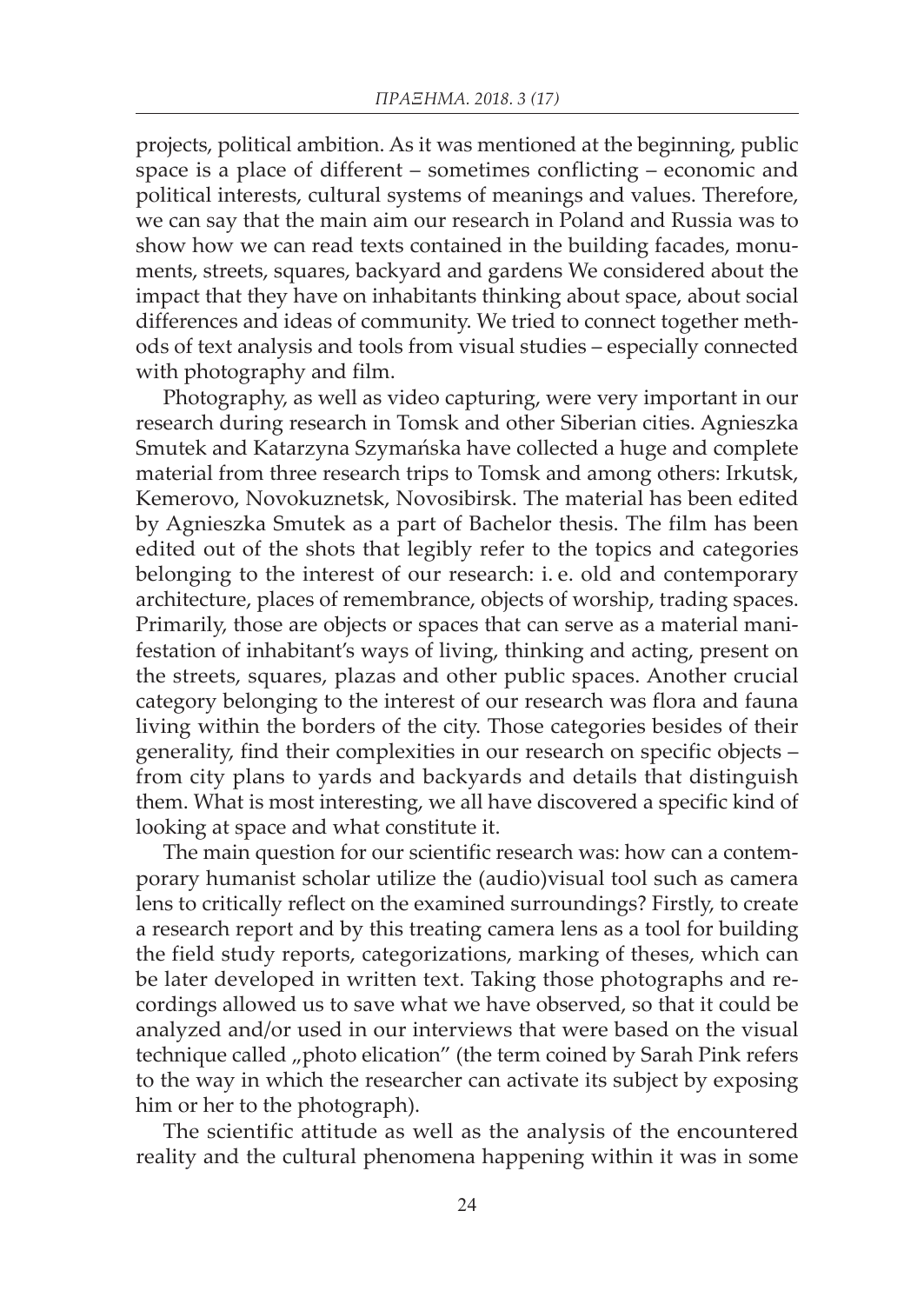projects, political ambition. As it was mentioned at the beginning, public space is a place of different – sometimes conflicting – economic and political interests, cultural systems of meanings and values. Therefore, we can say that the main aim our research in Poland and Russia was to show how we can read texts contained in the building facades, monuments, streets, squares, backyard and gardens We considered about the impact that they have on inhabitants thinking about space, about social differences and ideas of community. We tried to connect together methods of text analysis and tools from visual studies – especially connected with photography and film.

Photography, as well as video capturing, were very important in our research during research in Tomsk and other Siberian cities. Agnieszka Smutek and Katarzyna Szymańska have collected a huge and complete material from three research trips to Tomsk and among others: Irkutsk, Kemerovo, Novokuznetsk, Novosibirsk. The material has been edited by Agnieszka Smutek as a part of Bachelor thesis. The film has been edited out of the shots that legibly refer to the topics and categories belonging to the interest of our research: i. e. old and contemporary architecture, places of remembrance, objects of worship, trading spaces. Primarily, those are objects or spaces that can serve as a material manifestation of inhabitant's ways of living, thinking and acting, present on the streets, squares, plazas and other public spaces. Another crucial category belonging to the interest of our research was flora and fauna living within the borders of the city. Those categories besides of their generality, find their complexities in our research on specific objects – from city plans to yards and backyards and details that distinguish them. What is most interesting, we all have discovered a specific kind of looking at space and what constitute it.

The main question for our scientific research was: how can a contemporary humanist scholar utilize the (audio)visual tool such as camera lens to critically reflect on the examined surroundings? Firstly, to create a research report and by this treating camera lens as a tool for building the field study reports, categorizations, marking of theses, which can be later developed in written text. Taking those photographs and recordings allowed us to save what we have observed, so that it could be analyzed and/or used in our interviews that were based on the visual technique called "photo elication" (the term coined by Sarah Pink refers to the way in which the researcher can activate its subject by exposing him or her to the photograph).

The scientific attitude as well as the analysis of the encountered reality and the cultural phenomena happening within it was in some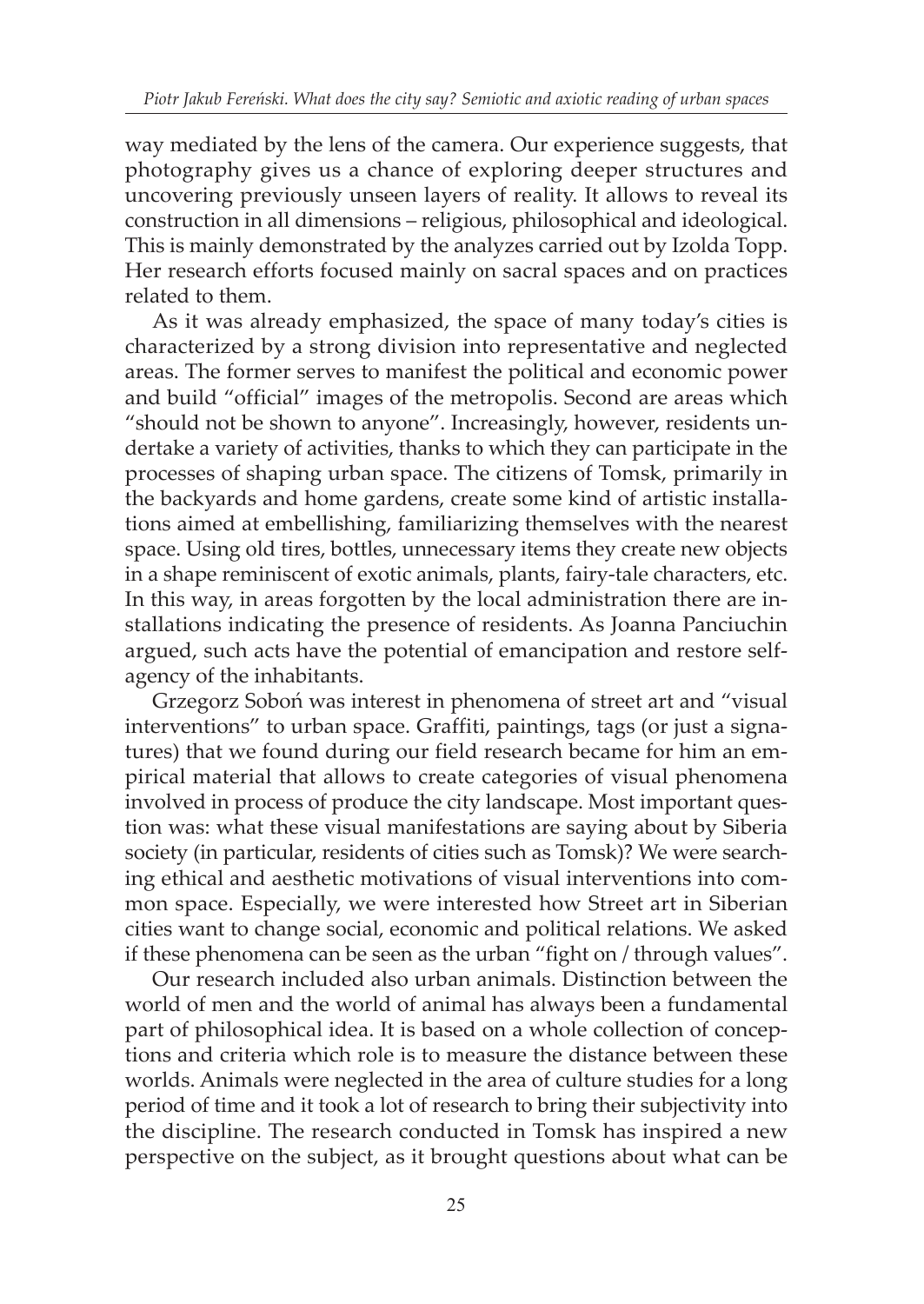way mediated by the lens of the camera. Our experience suggests, that photography gives us a chance of exploring deeper structures and uncovering previously unseen layers of reality. It allows to reveal its construction in all dimensions – religious, philosophical and ideological. This is mainly demonstrated by the analyzes carried out by Izolda Topp. Her research efforts focused mainly on sacral spaces and on practices related to them.

As it was already emphasized, the space of many today's cities is characterized by a strong division into representative and neglected areas. The former serves to manifest the political and economic power and build "official" images of the metropolis. Second are areas which "should not be shown to anyone". Increasingly, however, residents undertake a variety of activities, thanks to which they can participate in the processes of shaping urban space. The citizens of Tomsk, primarily in the backyards and home gardens, create some kind of artistic installations aimed at embellishing, familiarizing themselves with the nearest space. Using old tires, bottles, unnecessary items they create new objects in a shape reminiscent of exotic animals, plants, fairy-tale characters, etc. In this way, in areas forgotten by the local administration there are installations indicating the presence of residents. As Joanna Panciuchin argued, such acts have the potential of emancipation and restore selfagency of the inhabitants.

Grzegorz Soboń was interest in phenomena of street art and "visual interventions" to urban space. Graffiti, paintings, tags (or just a signatures) that we found during our field research became for him an empirical material that allows to create categories of visual phenomena involved in process of produce the city landscape. Most important question was: what these visual manifestations are saying about by Siberia society (in particular, residents of cities such as Tomsk)? We were searching ethical and aesthetic motivations of visual interventions into common space. Especially, we were interested how Street art in Siberian cities want to change social, economic and political relations. We asked if these phenomena can be seen as the urban "fight on / through values".

Our research included also urban animals. Distinction between the world of men and the world of animal has always been a fundamental part of philosophical idea. It is based on a whole collection of conceptions and criteria which role is to measure the distance between these worlds. Animals were neglected in the area of culture studies for a long period of time and it took a lot of research to bring their subjectivity into the discipline. The research conducted in Tomsk has inspired a new perspective on the subject, as it brought questions about what can be